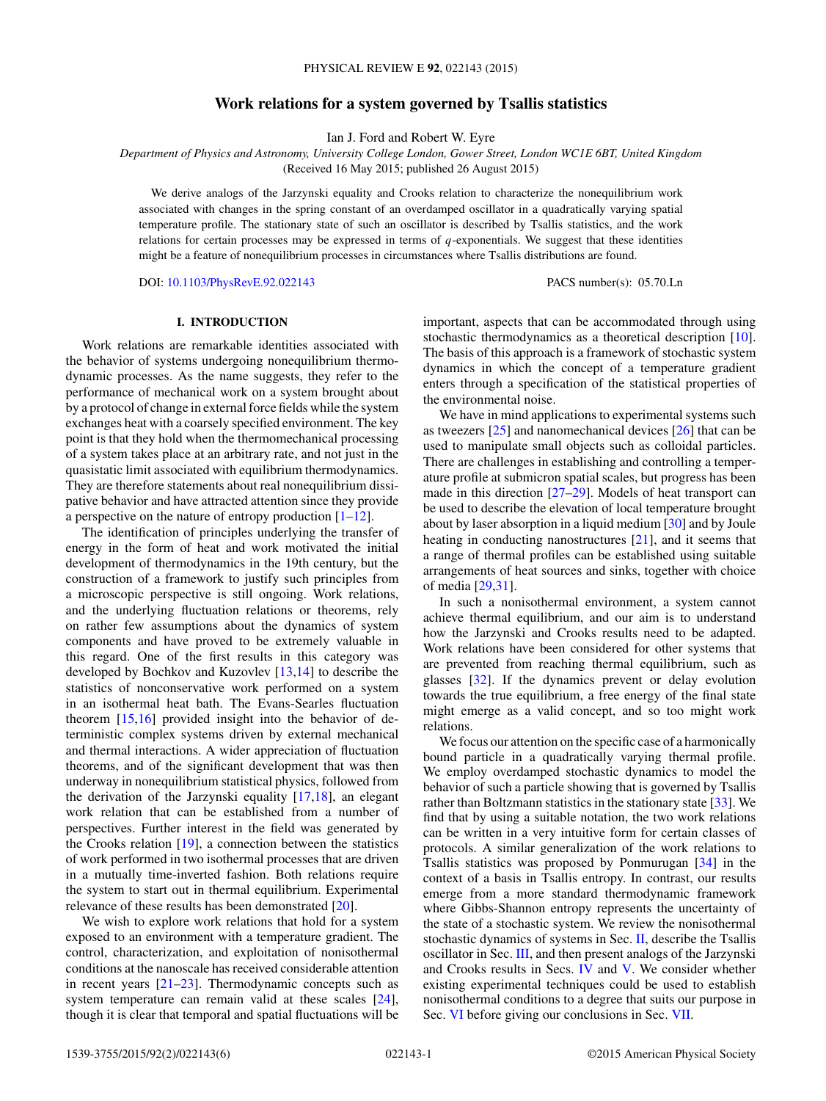# **Work relations for a system governed by Tsallis statistics**

Ian J. Ford and Robert W. Eyre

*Department of Physics and Astronomy, University College London, Gower Street, London WC1E 6BT, United Kingdom*

(Received 16 May 2015; published 26 August 2015)

We derive analogs of the Jarzynski equality and Crooks relation to characterize the nonequilibrium work associated with changes in the spring constant of an overdamped oscillator in a quadratically varying spatial temperature profile. The stationary state of such an oscillator is described by Tsallis statistics, and the work relations for certain processes may be expressed in terms of *q*-exponentials. We suggest that these identities might be a feature of nonequilibrium processes in circumstances where Tsallis distributions are found.

DOI: [10.1103/PhysRevE.92.022143](http://dx.doi.org/10.1103/PhysRevE.92.022143) PACS number(s): 05*.*70*.*Ln

## **I. INTRODUCTION**

Work relations are remarkable identities associated with the behavior of systems undergoing nonequilibrium thermodynamic processes. As the name suggests, they refer to the performance of mechanical work on a system brought about by a protocol of change in external force fields while the system exchanges heat with a coarsely specified environment. The key point is that they hold when the thermomechanical processing of a system takes place at an arbitrary rate, and not just in the quasistatic limit associated with equilibrium thermodynamics. They are therefore statements about real nonequilibrium dissipative behavior and have attracted attention since they provide a perspective on the nature of entropy production  $[1-12]$ .

The identification of principles underlying the transfer of energy in the form of heat and work motivated the initial development of thermodynamics in the 19th century, but the construction of a framework to justify such principles from a microscopic perspective is still ongoing. Work relations, and the underlying fluctuation relations or theorems, rely on rather few assumptions about the dynamics of system components and have proved to be extremely valuable in this regard. One of the first results in this category was developed by Bochkov and Kuzovlev [\[13,14\]](#page-5-0) to describe the statistics of nonconservative work performed on a system in an isothermal heat bath. The Evans-Searles fluctuation theorem [\[15,16\]](#page-5-0) provided insight into the behavior of deterministic complex systems driven by external mechanical and thermal interactions. A wider appreciation of fluctuation theorems, and of the significant development that was then underway in nonequilibrium statistical physics, followed from the derivation of the Jarzynski equality [\[17,18\]](#page-5-0), an elegant work relation that can be established from a number of perspectives. Further interest in the field was generated by the Crooks relation  $[19]$ , a connection between the statistics of work performed in two isothermal processes that are driven in a mutually time-inverted fashion. Both relations require the system to start out in thermal equilibrium. Experimental relevance of these results has been demonstrated [\[20\]](#page-5-0).

We wish to explore work relations that hold for a system exposed to an environment with a temperature gradient. The control, characterization, and exploitation of nonisothermal conditions at the nanoscale has received considerable attention in recent years [\[21–23\]](#page-5-0). Thermodynamic concepts such as system temperature can remain valid at these scales [\[24\]](#page-5-0), though it is clear that temporal and spatial fluctuations will be important, aspects that can be accommodated through using stochastic thermodynamics as a theoretical description [\[10\]](#page-5-0). The basis of this approach is a framework of stochastic system dynamics in which the concept of a temperature gradient enters through a specification of the statistical properties of the environmental noise.

We have in mind applications to experimental systems such as tweezers [\[25\]](#page-5-0) and nanomechanical devices [\[26\]](#page-5-0) that can be used to manipulate small objects such as colloidal particles. There are challenges in establishing and controlling a temperature profile at submicron spatial scales, but progress has been made in this direction [\[27–29\]](#page-5-0). Models of heat transport can be used to describe the elevation of local temperature brought about by laser absorption in a liquid medium  $[30]$  and by Joule heating in conducting nanostructures [\[21\]](#page-5-0), and it seems that a range of thermal profiles can be established using suitable arrangements of heat sources and sinks, together with choice of media [\[29,31\]](#page-5-0).

In such a nonisothermal environment, a system cannot achieve thermal equilibrium, and our aim is to understand how the Jarzynski and Crooks results need to be adapted. Work relations have been considered for other systems that are prevented from reaching thermal equilibrium, such as glasses [\[32\]](#page-5-0). If the dynamics prevent or delay evolution towards the true equilibrium, a free energy of the final state might emerge as a valid concept, and so too might work relations.

We focus our attention on the specific case of a harmonically bound particle in a quadratically varying thermal profile. We employ overdamped stochastic dynamics to model the behavior of such a particle showing that is governed by Tsallis rather than Boltzmann statistics in the stationary state [\[33\]](#page-5-0). We find that by using a suitable notation, the two work relations can be written in a very intuitive form for certain classes of protocols. A similar generalization of the work relations to Tsallis statistics was proposed by Ponmurugan [\[34\]](#page-5-0) in the context of a basis in Tsallis entropy. In contrast, our results emerge from a more standard thermodynamic framework where Gibbs-Shannon entropy represents the uncertainty of the state of a stochastic system. We review the nonisothermal stochastic dynamics of systems in Sec. [II,](#page-1-0) describe the Tsallis oscillator in Sec. [III,](#page-1-0) and then present analogs of the Jarzynski and Crooks results in Secs. [IV](#page-2-0) and [V.](#page-3-0) We consider whether existing experimental techniques could be used to establish nonisothermal conditions to a degree that suits our purpose in Sec. [VI](#page-4-0) before giving our conclusions in Sec. [VII.](#page-5-0)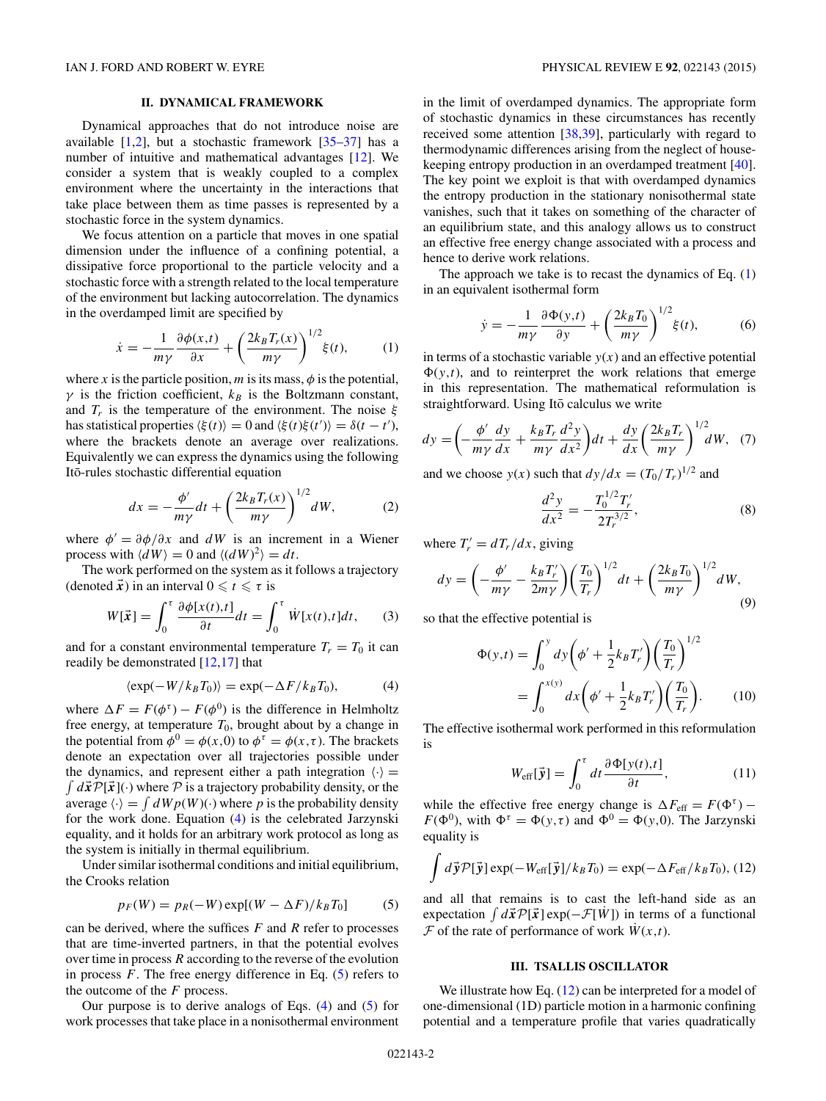# **II. DYNAMICAL FRAMEWORK**

<span id="page-1-0"></span>Dynamical approaches that do not introduce noise are available  $[1,2]$ , but a stochastic framework  $[35-37]$  has a number of intuitive and mathematical advantages [\[12\]](#page-5-0). We consider a system that is weakly coupled to a complex environment where the uncertainty in the interactions that take place between them as time passes is represented by a stochastic force in the system dynamics.

We focus attention on a particle that moves in one spatial dimension under the influence of a confining potential, a dissipative force proportional to the particle velocity and a stochastic force with a strength related to the local temperature of the environment but lacking autocorrelation. The dynamics in the overdamped limit are specified by

$$
\dot{x} = -\frac{1}{m\gamma} \frac{\partial \phi(x,t)}{\partial x} + \left(\frac{2k_B T_r(x)}{m\gamma}\right)^{1/2} \xi(t),\tag{1}
$$

where *x* is the particle position, *m* is its mass,  $\phi$  is the potential,  $\gamma$  is the friction coefficient,  $k_B$  is the Boltzmann constant, and  $T_r$  is the temperature of the environment. The noise  $\xi$ has statistical properties  $\langle \xi(t) \rangle = 0$  and  $\langle \xi(t) \xi(t') \rangle = \delta(t - t'),$ where the brackets denote an average over realizations. Equivalently we can express the dynamics using the following Ito-rules stochastic differential equation ¯

$$
dx = -\frac{\phi'}{m\gamma}dt + \left(\frac{2k_B T_r(x)}{m\gamma}\right)^{1/2}dW,\tag{2}
$$

where  $\phi' = \frac{\partial \phi}{\partial x}$  and  $dW$  is an increment in a Wiener process with  $\langle dW \rangle = 0$  and  $\langle (dW)^2 \rangle = dt$ .

The work performed on the system as it follows a trajectory (denoted  $\vec{x}$ ) in an interval  $0 \le t \le \tau$  is

$$
W[\vec{x}] = \int_0^{\tau} \frac{\partial \phi[x(t),t]}{\partial t} dt = \int_0^{\tau} \dot{W}[x(t),t] dt, \qquad (3)
$$

and for a constant environmental temperature  $T_r = T_0$  it can readily be demonstrated [\[12,17\]](#page-5-0) that

$$
\langle \exp(-W/k_B T_0) \rangle = \exp(-\Delta F/k_B T_0), \tag{4}
$$

where  $\Delta F = F(\phi^{\tau}) - F(\phi^0)$  is the difference in Helmholtz free energy, at temperature  $T_0$ , brought about by a change in the potential from  $\phi^0 = \phi(x,0)$  to  $\phi^{\tau} = \phi(x,\tau)$ . The brackets denote an expectation over all trajectories possible under the dynamics, and represent either a path integration  $\langle \cdot \rangle$  =  $\int d\vec{x}P[\vec{x}]$ (·) where P is a trajectory probability density, or the average  $\langle \cdot \rangle = \int dW p(W)(\cdot)$  where p is the probability density for the work done. Equation (4) is the celebrated Jarzynski equality, and it holds for an arbitrary work protocol as long as the system is initially in thermal equilibrium.

Under similar isothermal conditions and initial equilibrium, the Crooks relation

$$
p_F(W) = p_R(-W) \exp[(W - \Delta F)/k_B T_0]
$$
 (5)

can be derived, where the suffices *F* and *R* refer to processes that are time-inverted partners, in that the potential evolves over time in process *R* according to the reverse of the evolution in process *F*. The free energy difference in Eq. (5) refers to the outcome of the *F* process.

Our purpose is to derive analogs of Eqs.  $(4)$  and  $(5)$  for work processes that take place in a nonisothermal environment

in the limit of overdamped dynamics. The appropriate form of stochastic dynamics in these circumstances has recently received some attention [\[38,39\]](#page-5-0), particularly with regard to thermodynamic differences arising from the neglect of housekeeping entropy production in an overdamped treatment [\[40\]](#page-5-0). The key point we exploit is that with overdamped dynamics the entropy production in the stationary nonisothermal state vanishes, such that it takes on something of the character of an equilibrium state, and this analogy allows us to construct an effective free energy change associated with a process and hence to derive work relations.

The approach we take is to recast the dynamics of Eq.  $(1)$ in an equivalent isothermal form

$$
\dot{y} = -\frac{1}{m\gamma} \frac{\partial \Phi(y, t)}{\partial y} + \left(\frac{2k_B T_0}{m\gamma}\right)^{1/2} \xi(t),\tag{6}
$$

in terms of a stochastic variable  $y(x)$  and an effective potential  $\Phi(y,t)$ , and to reinterpret the work relations that emerge in this representation. The mathematical reformulation is straightforward. Using Itō calculus we write

$$
dy = \left(-\frac{\phi'}{m\gamma}\frac{dy}{dx} + \frac{k_B T_r}{m\gamma}\frac{d^2 y}{dx^2}\right)dt + \frac{dy}{dx}\left(\frac{2k_B T_r}{m\gamma}\right)^{1/2}dW, \tag{7}
$$

and we choose  $y(x)$  such that  $dy/dx = (T_0/T_r)^{1/2}$  and

$$
\frac{d^2y}{dx^2} = -\frac{T_0^{1/2}T_r'}{2T_r^{3/2}},\tag{8}
$$

where  $T'_r = dT_r/dx$ , giving

$$
dy = \left(-\frac{\phi'}{m\gamma} - \frac{k_B T_r'}{2m\gamma}\right) \left(\frac{T_0}{T_r}\right)^{1/2} dt + \left(\frac{2k_B T_0}{m\gamma}\right)^{1/2} dW,\tag{9}
$$

so that the effective potential is

$$
\Phi(y,t) = \int_0^y dy \left(\phi' + \frac{1}{2}k_B T'_r\right) \left(\frac{T_0}{T_r}\right)^{1/2} \n= \int_0^{x(y)} dx \left(\phi' + \frac{1}{2}k_B T'_r\right) \left(\frac{T_0}{T_r}\right).
$$
\n(10)

The effective isothermal work performed in this reformulation is

$$
W_{\text{eff}}[\vec{\mathbf{y}}] = \int_0^{\tau} dt \frac{\partial \Phi[\mathbf{y}(t), t]}{\partial t}, \qquad (11)
$$

while the effective free energy change is  $\Delta F_{\text{eff}} = F(\Phi^{\tau})$  – *F*( $\Phi^0$ ), with  $\Phi^{\tau} = \Phi(y, \tau)$  and  $\Phi^0 = \Phi(y, 0)$ . The Jarzynski equality is

$$
\int d\vec{y} \mathcal{P}[\vec{y}] \exp(-W_{\text{eff}}[\vec{y}]/k_B T_0) = \exp(-\Delta F_{\text{eff}}/k_B T_0), (12)
$$

and all that remains is to cast the left-hand side as an expectation  $\int d\vec{x} \mathcal{P}[\vec{x}] \exp(-\mathcal{F}[W])$  in terms of a functional  $\mathcal F$  of the rate of performance of work  $W(x,t)$ .

### **III. TSALLIS OSCILLATOR**

We illustrate how Eq. (12) can be interpreted for a model of one-dimensional (1D) particle motion in a harmonic confining potential and a temperature profile that varies quadratically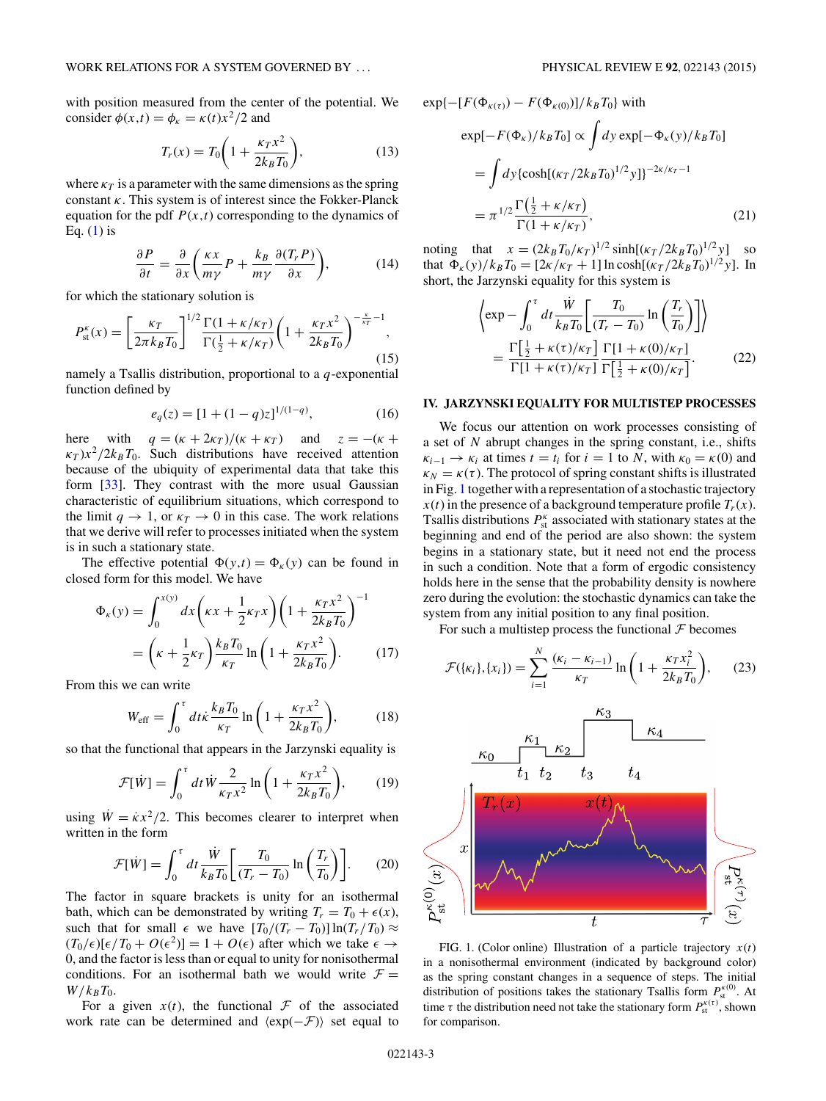<span id="page-2-0"></span>with position measured from the center of the potential. We consider  $\phi(x,t) = \phi_{\kappa} = \kappa(t)x^2/2$  and

$$
T_r(x) = T_0 \bigg( 1 + \frac{\kappa_T x^2}{2k_B T_0} \bigg),
$$
 (13)

where  $\kappa_T$  is a parameter with the same dimensions as the spring constant *κ*. This system is of interest since the Fokker-Planck equation for the pdf  $P(x,t)$  corresponding to the dynamics of Eq.  $(1)$  is

$$
\frac{\partial P}{\partial t} = \frac{\partial}{\partial x} \left( \frac{\kappa x}{m\gamma} P + \frac{k_B}{m\gamma} \frac{\partial (T_r P)}{\partial x} \right),\tag{14}
$$

for which the stationary solution is

$$
P_{\rm st}^{\kappa}(x) = \left[\frac{\kappa_T}{2\pi k_B T_0}\right]^{1/2} \frac{\Gamma(1 + \kappa/\kappa_T)}{\Gamma(\frac{1}{2} + \kappa/\kappa_T)} \left(1 + \frac{\kappa_T x^2}{2k_B T_0}\right)^{-\frac{\kappa}{\kappa_T} - 1},\tag{15}
$$

namely a Tsallis distribution, proportional to a *q*-exponential function defined by

$$
e_q(z) = [1 + (1 - q)z]^{1/(1-q)},\tag{16}
$$

here with  $q = (\kappa + 2\kappa_T)/(\kappa + \kappa_T)$  and  $z = -(\kappa +$  $\kappa_T$ ) $x^2/2k_BT_0$ . Such distributions have received attention because of the ubiquity of experimental data that take this form [\[33\]](#page-5-0). They contrast with the more usual Gaussian characteristic of equilibrium situations, which correspond to the limit  $q \to 1$ , or  $\kappa_T \to 0$  in this case. The work relations that we derive will refer to processes initiated when the system is in such a stationary state.

The effective potential  $\Phi(y,t) = \Phi_k(y)$  can be found in closed form for this model. We have

$$
\Phi_{\kappa}(y) = \int_0^{x(y)} dx \left(\kappa x + \frac{1}{2}\kappa_T x\right) \left(1 + \frac{\kappa_T x^2}{2k_B T_0}\right)^{-1}
$$

$$
= \left(\kappa + \frac{1}{2}\kappa_T\right) \frac{k_B T_0}{\kappa_T} \ln\left(1 + \frac{\kappa_T x^2}{2k_B T_0}\right). \tag{17}
$$

From this we can write

$$
W_{\rm eff} = \int_0^{\tau} dt \kappa \frac{k_B T_0}{\kappa_T} \ln\left(1 + \frac{\kappa_T x^2}{2k_B T_0}\right),\tag{18}
$$

so that the functional that appears in the Jarzynski equality is

$$
\mathcal{F}[\dot{W}] = \int_0^{\tau} dt \dot{W} \frac{2}{\kappa_T x^2} \ln\left(1 + \frac{\kappa_T x^2}{2k_B T_0}\right),\qquad(19)
$$

using  $\dot{W} = \dot{\kappa} x^2/2$ . This becomes clearer to interpret when written in the form

$$
\mathcal{F}[\dot{W}] = \int_0^{\tau} dt \frac{\dot{W}}{k_B T_0} \left[ \frac{T_0}{(T_r - T_0)} \ln \left( \frac{T_r}{T_0} \right) \right].
$$
 (20)

The factor in square brackets is unity for an isothermal bath, which can be demonstrated by writing  $T_r = T_0 + \epsilon(x)$ , such that for small  $\epsilon$  we have  $[T_0/(T_r - T_0)] \ln(T_r/T_0) \approx$  $(T_0/\epsilon)[\epsilon/T_0 + O(\epsilon^2)] = 1 + O(\epsilon)$  after which we take  $\epsilon \to$ 0, and the factor is less than or equal to unity for nonisothermal conditions. For an isothermal bath we would write  $\mathcal{F} =$  $W/k_BT_0$ .

For a given  $x(t)$ , the functional  $\mathcal F$  of the associated work rate can be determined and  $\langle \exp(-\mathcal{F}) \rangle$  set equal to

$$
\exp[-F(\Phi_{\kappa(t)}) - F(\Phi_{\kappa(0)})] / k_B T_0] \propto \int dy \exp[-\Phi_{\kappa}(y) / k_B T_0]
$$
  
\n
$$
= \int dy \{ \cosh[(\kappa_T/2k_B T_0)^{1/2} y] \}^{-2\kappa/\kappa_T - 1}
$$
  
\n
$$
= \pi^{1/2} \frac{\Gamma(\frac{1}{2} + \kappa/\kappa_T)}{\Gamma(1 + \kappa/\kappa_T)},
$$
\n(21)

 $\lceil F(\phi_0) \rceil - F(\phi_0) \rceil / k$   $\lceil T \rceil$  with

noting that  $x = (2k_B T_0 / \kappa_T)^{1/2} \sinh[(\kappa_T / 2k_B T_0)^{1/2} y]$  so that  $\Phi_{\kappa}(y)/k_BT_0 = [2\kappa/\kappa_T + 1] \ln \cosh[(\kappa_T/2k_BT_0)^{1/2}y]$ . In short, the Jarzynski equality for this system is

$$
\left\langle \exp - \int_0^{\tau} dt \frac{\dot{W}}{k_B T_0} \left[ \frac{T_0}{(T_r - T_0)} \ln \left( \frac{T_r}{T_0} \right) \right] \right\rangle
$$
  
= 
$$
\frac{\Gamma\left[\frac{1}{2} + \kappa(\tau)/\kappa_T\right]}{\Gamma[1 + \kappa(\tau)/\kappa_T]} \frac{\Gamma[1 + \kappa(0)/\kappa_T]}{\Gamma\left[\frac{1}{2} + \kappa(0)/\kappa_T\right]}.
$$
 (22)

#### **IV. JARZYNSKI EQUALITY FOR MULTISTEP PROCESSES**

We focus our attention on work processes consisting of a set of *N* abrupt changes in the spring constant, i.e., shifts  $\kappa_{i-1} \rightarrow \kappa_i$  at times  $t = t_i$  for  $i = 1$  to *N*, with  $\kappa_0 = \kappa(0)$  and  $\kappa_N = \kappa(\tau)$ . The protocol of spring constant shifts is illustrated in Fig. 1 together with a representation of a stochastic trajectory  $x(t)$  in the presence of a background temperature profile  $T_r(x)$ . Tsallis distributions  $P_{\text{st}}^{\kappa}$  associated with stationary states at the beginning and end of the period are also shown: the system begins in a stationary state, but it need not end the process in such a condition. Note that a form of ergodic consistency holds here in the sense that the probability density is nowhere zero during the evolution: the stochastic dynamics can take the system from any initial position to any final position.

For such a multistep process the functional  $\mathcal F$  becomes

$$
\mathcal{F}(\{\kappa_i\}, \{x_i\}) = \sum_{i=1}^{N} \frac{(\kappa_i - \kappa_{i-1})}{\kappa_T} \ln\left(1 + \frac{\kappa_T x_i^2}{2k_B T_0}\right),\qquad(23)
$$



FIG. 1. (Color online) Illustration of a particle trajectory  $x(t)$ in a nonisothermal environment (indicated by background color) as the spring constant changes in a sequence of steps. The initial distribution of positions takes the stationary Tsallis form  $P_{\rm st}^{k(0)}$ . At time  $\tau$  the distribution need not take the stationary form  $P_{\text{st}}^{\kappa(\tau)}$ , shown for comparison.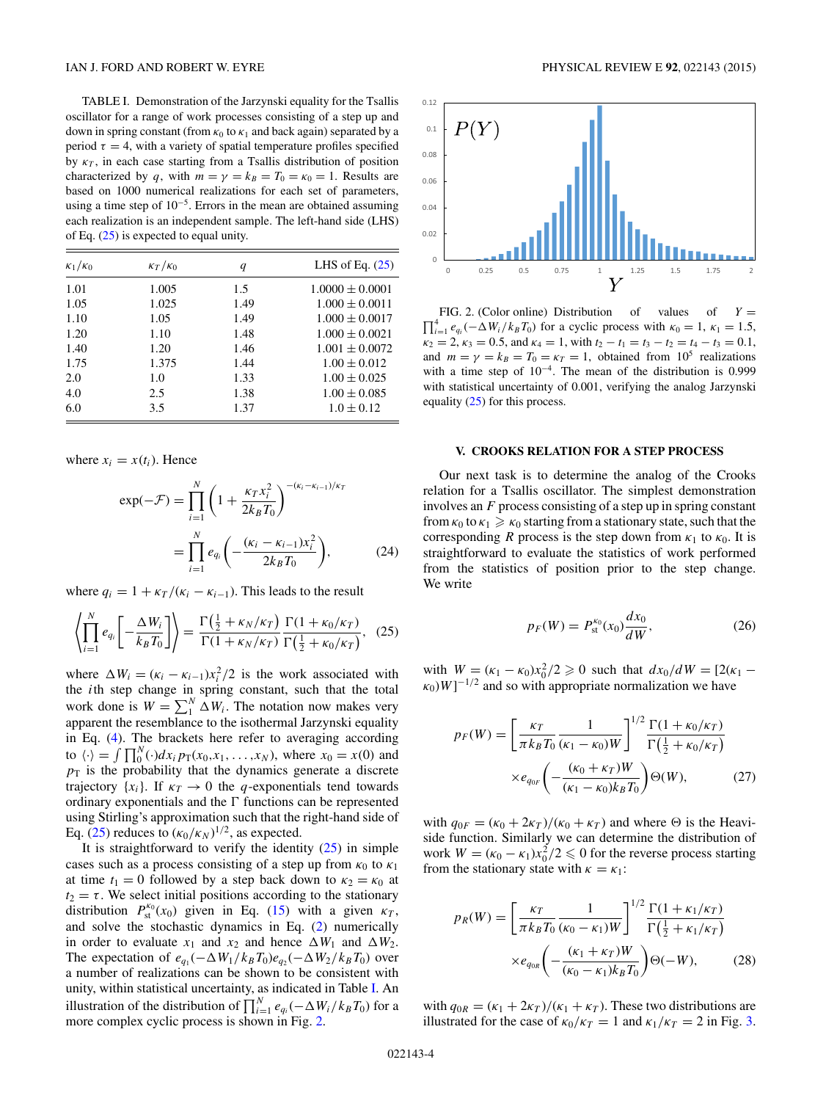<span id="page-3-0"></span>TABLE I. Demonstration of the Jarzynski equality for the Tsallis oscillator for a range of work processes consisting of a step up and down in spring constant (from  $\kappa_0$  to  $\kappa_1$  and back again) separated by a period  $\tau = 4$ , with a variety of spatial temperature profiles specified by  $\kappa_T$ , in each case starting from a Tsallis distribution of position characterized by *q*, with  $m = \gamma = k_B = T_0 = \kappa_0 = 1$ . Results are based on 1000 numerical realizations for each set of parameters, using a time step of  $10^{-5}$ . Errors in the mean are obtained assuming each realization is an independent sample. The left-hand side (LHS) of Eq. (25) is expected to equal unity.

| $\kappa_1/\kappa_0$ | $\kappa_T/\kappa_0$ | q    | LHS of Eq. $(25)$   |
|---------------------|---------------------|------|---------------------|
| 1.01                | 1.005               | 1.5  | $1.0000 \pm 0.0001$ |
| 1.05                | 1.025               | 1.49 | $1.000 \pm 0.0011$  |
| 1.10                | 1.05                | 1.49 | $1.000 \pm 0.0017$  |
| 1.20                | 1.10                | 1.48 | $1.000 \pm 0.0021$  |
| 1.40                | 1.20                | 1.46 | $1.001 \pm 0.0072$  |
| 1.75                | 1.375               | 1.44 | $1.00 \pm 0.012$    |
| 2.0                 | 1.0                 | 1.33 | $1.00 \pm 0.025$    |
| 4.0                 | 2.5                 | 1.38 | $1.00 \pm 0.085$    |
| 6.0                 | 3.5                 | 1.37 | $1.0 \pm 0.12$      |

where  $x_i = x(t_i)$ . Hence

$$
\exp(-\mathcal{F}) = \prod_{i=1}^{N} \left( 1 + \frac{\kappa_T x_i^2}{2k_B T_0} \right)^{-(\kappa_i - \kappa_{i-1})/\kappa_T} \n= \prod_{i=1}^{N} e_{q_i} \left( -\frac{(\kappa_i - \kappa_{i-1})x_i^2}{2k_B T_0} \right),
$$
\n(24)

where  $q_i = 1 + \frac{\kappa_T}{\kappa_i - \kappa_{i-1}}$ . This leads to the result

$$
\left\langle \prod_{i=1}^{N} e_{q_i} \left[ -\frac{\Delta W_i}{k_B T_0} \right] \right\rangle = \frac{\Gamma\left(\frac{1}{2} + \kappa_N/\kappa_T\right)}{\Gamma(1 + \kappa_N/\kappa_T)} \frac{\Gamma(1 + \kappa_0/\kappa_T)}{\Gamma\left(\frac{1}{2} + \kappa_0/\kappa_T\right)}, \quad (25)
$$

where  $\Delta W_i = (\kappa_i - \kappa_{i-1})x_i^2/2$  is the work associated with the *i*th step change in spring constant, such that the total work done is  $W = \sum_{i=1}^{N} \Delta W_i$ . The notation now makes very apparent the resemblance to the isothermal Jarzynski equality in Eq. [\(4\)](#page-1-0). The brackets here refer to averaging according to  $\langle \cdot \rangle = \int \prod_0^N (\cdot) dx_i p_T(x_0, x_1, \dots, x_N)$ , where  $x_0 = x(0)$  and  $p<sub>T</sub>$  is the probability that the dynamics generate a discrete trajectory  $\{x_i\}$ . If  $\kappa_T \to 0$  the *q*-exponentials tend towards ordinary exponentials and the  $\Gamma$  functions can be represented using Stirling's approximation such that the right-hand side of Eq. (25) reduces to  $(\kappa_0/\kappa_N)^{1/2}$ , as expected.

It is straightforward to verify the identity  $(25)$  in simple cases such as a process consisting of a step up from  $\kappa_0$  to  $\kappa_1$ at time  $t_1 = 0$  followed by a step back down to  $\kappa_2 = \kappa_0$  at  $t_2 = \tau$ . We select initial positions according to the stationary distribution  $P_{\text{st}}^{\kappa_0}(x_0)$  given in Eq. [\(15\)](#page-2-0) with a given  $\kappa_T$ , and solve the stochastic dynamics in Eq. [\(2\)](#page-1-0) numerically in order to evaluate  $x_1$  and  $x_2$  and hence  $\Delta W_1$  and  $\Delta W_2$ . The expectation of  $e_{q_1}(-\Delta W_1/k_BT_0)e_{q_2}(-\Delta W_2/k_BT_0)$  over a number of realizations can be shown to be consistent with unity, within statistical uncertainty, as indicated in Table I. An illustration of the distribution of  $\prod_{i=1}^{N} e_{q_i}(-\Delta W_i / k_B T_0)$  for a more complex cyclic process is shown in Fig. 2.



FIG. 2. (Color online) Distribution of values of  $Y =$  $\prod_{i=1}^{4} e_{q_i}(-\Delta W_i/k_B T_0)$  for a cyclic process with  $\kappa_0 = 1$ ,  $\kappa_1 = 1.5$ ,  $\kappa_2 = 2, \kappa_3 = 0.5$ , and  $\kappa_4 = 1$ , with  $t_2 - t_1 = t_3 - t_2 = t_4 - t_3 = 0.1$ , and  $m = \gamma = k_B = T_0 = \kappa_T = 1$ , obtained from 10<sup>5</sup> realizations with a time step of  $10^{-4}$ . The mean of the distribution is 0.999 with statistical uncertainty of 0.001, verifying the analog Jarzynski equality (25) for this process.

#### **V. CROOKS RELATION FOR A STEP PROCESS**

Our next task is to determine the analog of the Crooks relation for a Tsallis oscillator. The simplest demonstration involves an *F* process consisting of a step up in spring constant from  $\kappa_0$  to  $\kappa_1 \geq \kappa_0$  starting from a stationary state, such that the corresponding *R* process is the step down from  $\kappa_1$  to  $\kappa_0$ . It is straightforward to evaluate the statistics of work performed from the statistics of position prior to the step change. We write

$$
p_F(W) = P_{\rm st}^{\kappa_0}(x_0) \frac{dx_0}{dW},\tag{26}
$$

with  $W = (\kappa_1 - \kappa_0)x_0^2/2 \ge 0$  such that  $dx_0/dW = [2(\kappa_1 - \kappa_0)x_0^2]/2$  $k_0$ )*W*]<sup>-1/2</sup> and so with appropriate normalization we have

$$
p_F(W) = \left[\frac{\kappa_T}{\pi k_B T_0} \frac{1}{(\kappa_1 - \kappa_0)W}\right]^{1/2} \frac{\Gamma(1 + \kappa_0/\kappa_T)}{\Gamma(\frac{1}{2} + \kappa_0/\kappa_T)} \times e_{q_{0F}} \left(-\frac{(\kappa_0 + \kappa_T)W}{(\kappa_1 - \kappa_0)k_B T_0}\right) \Theta(W),\tag{27}
$$

with  $q_{0F} = (\kappa_0 + 2\kappa_T)/(\kappa_0 + \kappa_T)$  and where  $\Theta$  is the Heaviside function. Similarly we can determine the distribution of work  $W = (\kappa_0 - \kappa_1)x_0^2/2 \le 0$  for the reverse process starting from the stationary state with  $\kappa = \kappa_1$ :

$$
p_R(W) = \left[\frac{\kappa_T}{\pi k_B T_0} \frac{1}{(\kappa_0 - \kappa_1) W}\right]^{1/2} \frac{\Gamma(1 + \kappa_1/\kappa_T)}{\Gamma(\frac{1}{2} + \kappa_1/\kappa_T)} \times e_{q_{0R}} \left(-\frac{(\kappa_1 + \kappa_T) W}{(\kappa_0 - \kappa_1) k_B T_0}\right) \Theta(-W),\tag{28}
$$

with  $q_{0R} = (\kappa_1 + 2\kappa_T)/(\kappa_1 + \kappa_T)$ . These two distributions are illustrated for the case of  $\kappa_0/\kappa_T = 1$  and  $\kappa_1/\kappa_T = 2$  in Fig. [3.](#page-4-0)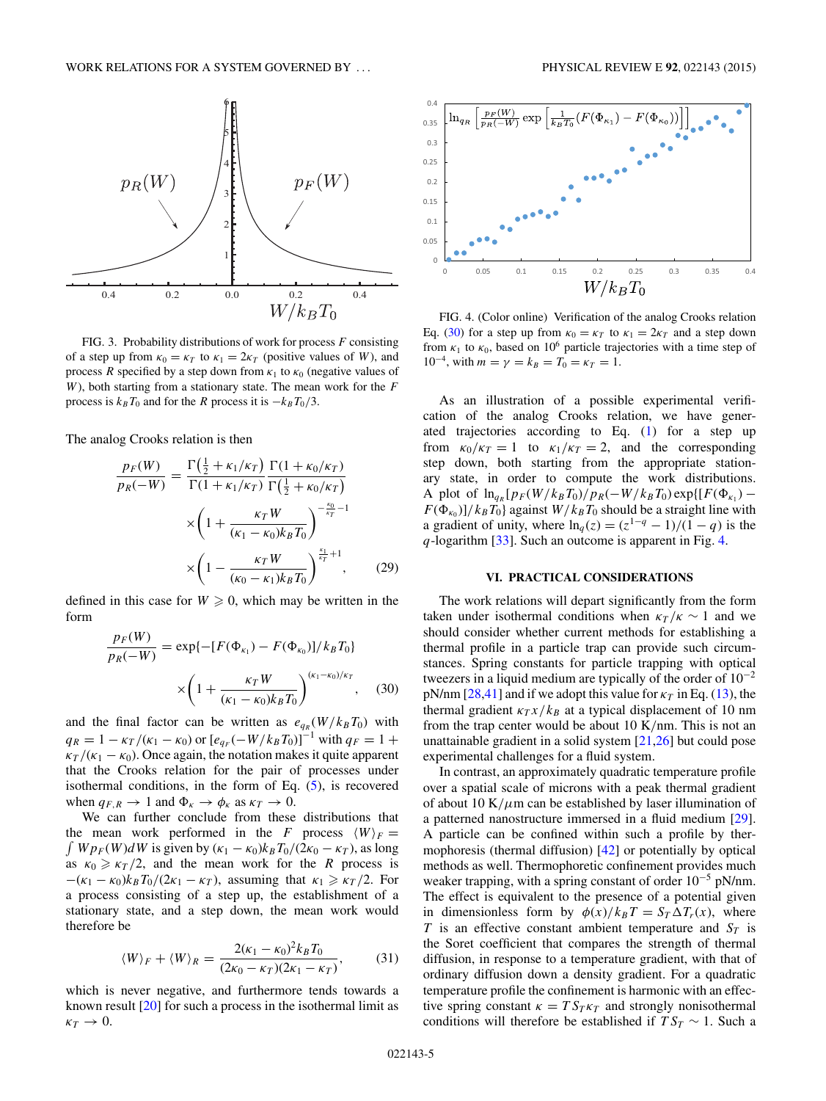<span id="page-4-0"></span>

FIG. 3. Probability distributions of work for process *F* consisting of a step up from  $\kappa_0 = \kappa_T$  to  $\kappa_1 = 2\kappa_T$  (positive values of *W*), and process *R* specified by a step down from  $\kappa_1$  to  $\kappa_0$  (negative values of *W*), both starting from a stationary state. The mean work for the *F* process is  $k_B T_0$  and for the *R* process it is  $-k_B T_0/3$ .

The analog Crooks relation is then

$$
\frac{p_F(W)}{p_R(-W)} = \frac{\Gamma(\frac{1}{2} + \kappa_1/\kappa_T)}{\Gamma(1 + \kappa_1/\kappa_T)} \frac{\Gamma(1 + \kappa_0/\kappa_T)}{\Gamma(\frac{1}{2} + \kappa_0/\kappa_T)} \times \left(1 + \frac{\kappa_T W}{(\kappa_1 - \kappa_0)k_B T_0}\right)^{-\frac{\kappa_0}{\kappa_T} - 1} \times \left(1 - \frac{\kappa_T W}{(\kappa_0 - \kappa_1)k_B T_0}\right)^{\frac{\kappa_1}{\kappa_T} + 1}, \quad (29)
$$

defined in this case for  $W \ge 0$ , which may be written in the form

$$
\frac{p_F(W)}{p_R(-W)} = \exp\{-[F(\Phi_{\kappa_1}) - F(\Phi_{\kappa_0})]/k_B T_0\}
$$

$$
\times \left(1 + \frac{\kappa_T W}{(\kappa_1 - \kappa_0)k_B T_0}\right)^{(\kappa_1 - \kappa_0)/\kappa_T}, \quad (30)
$$

and the final factor can be written as  $e_{qR}(W/k_BT_0)$  with  $q_R = 1 - \frac{\kappa_T}{(\kappa_1 - \kappa_0)}$  or  $[e_{q_F}(-W/k_B T_0)]^{-1}$  with  $q_F = 1 + \frac{\kappa_T}{(\kappa_1 - \kappa_0)}$  $\frac{\kappa_T}{\kappa_1 - \kappa_0}$ . Once again, the notation makes it quite apparent that the Crooks relation for the pair of processes under isothermal conditions, in the form of Eq. [\(5\)](#page-1-0), is recovered when  $q_{F,R} \to 1$  and  $\Phi_{\kappa} \to \phi_{\kappa}$  as  $\kappa_T \to 0$ .

We can further conclude from these distributions that the mean work performed in the *F* process  $\langle W \rangle_F =$  $\int W p_F(W) dW$  is given by  $(\kappa_1 - \kappa_0) k_B T_0 / (2\kappa_0 - \kappa_T)$ , as long as  $\kappa_0 \geq \frac{\kappa_T}{2}$ , and the mean work for the *R* process is  $-(\kappa_1 - \kappa_0)k_BT_0/(2\kappa_1 - \kappa_T)$ , assuming that  $\kappa_1 \geq \kappa_T/2$ . For a process consisting of a step up, the establishment of a stationary state, and a step down, the mean work would therefore be

$$
\langle W \rangle_F + \langle W \rangle_R = \frac{2(\kappa_1 - \kappa_0)^2 k_B T_0}{(2\kappa_0 - \kappa_T)(2\kappa_1 - \kappa_T)},\tag{31}
$$

which is never negative, and furthermore tends towards a known result [\[20\]](#page-5-0) for such a process in the isothermal limit as  $\kappa_T \rightarrow 0$ .



FIG. 4. (Color online) Verification of the analog Crooks relation Eq. (30) for a step up from  $\kappa_0 = \kappa_T$  to  $\kappa_1 = 2\kappa_T$  and a step down from  $\kappa_1$  to  $\kappa_0$ , based on 10<sup>6</sup> particle trajectories with a time step of  $10^{-4}$ , with  $m = \gamma = k_B = T_0 = \kappa_T = 1$ .

As an illustration of a possible experimental verification of the analog Crooks relation, we have generated trajectories according to Eq. [\(1\)](#page-1-0) for a step up from  $\kappa_0/\kappa_T = 1$  to  $\kappa_1/\kappa_T = 2$ , and the corresponding step down, both starting from the appropriate stationary state, in order to compute the work distributions. A plot of  $\ln_{q_R}[p_F(W/k_B T_0)/p_R(-W/k_B T_0) \exp\{[F(\Phi_{K_1}) F(\Phi_{\kappa_0})$ ]/ $k_B T_0$ } against *W*/ $k_B T_0$  should be a straight line with a gradient of unity, where  $\ln_q(z) = (z^{1-q} - 1)/(1-q)$  is the *q*-logarithm [\[33\]](#page-5-0). Such an outcome is apparent in Fig. 4.

## **VI. PRACTICAL CONSIDERATIONS**

The work relations will depart significantly from the form taken under isothermal conditions when  $\kappa_T / \kappa \sim 1$  and we should consider whether current methods for establishing a thermal profile in a particle trap can provide such circumstances. Spring constants for particle trapping with optical tweezers in a liquid medium are typically of the order of  $10^{-2}$ pN/nm  $[28,41]$  and if we adopt this value for  $\kappa_T$  in Eq. [\(13\)](#page-2-0), the thermal gradient  $\kappa_T x/k_B$  at a typical displacement of 10 nm from the trap center would be about 10 K*/*nm. This is not an unattainable gradient in a solid system [\[21,26\]](#page-5-0) but could pose experimental challenges for a fluid system.

In contrast, an approximately quadratic temperature profile over a spatial scale of microns with a peak thermal gradient of about 10 K/ $\mu$ m can be established by laser illumination of a patterned nanostructure immersed in a fluid medium [\[29\]](#page-5-0). A particle can be confined within such a profile by thermophoresis (thermal diffusion) [\[42\]](#page-5-0) or potentially by optical methods as well. Thermophoretic confinement provides much weaker trapping, with a spring constant of order 10<sup>−</sup><sup>5</sup> pN/nm. The effect is equivalent to the presence of a potential given in dimensionless form by  $\phi(x)/k_BT = S_T \Delta T_r(x)$ , where *T* is an effective constant ambient temperature and  $S_T$  is the Soret coefficient that compares the strength of thermal diffusion, in response to a temperature gradient, with that of ordinary diffusion down a density gradient. For a quadratic temperature profile the confinement is harmonic with an effective spring constant  $\kappa = TS_T \kappa_T$  and strongly nonisothermal conditions will therefore be established if  $TS_T \sim 1$ . Such a